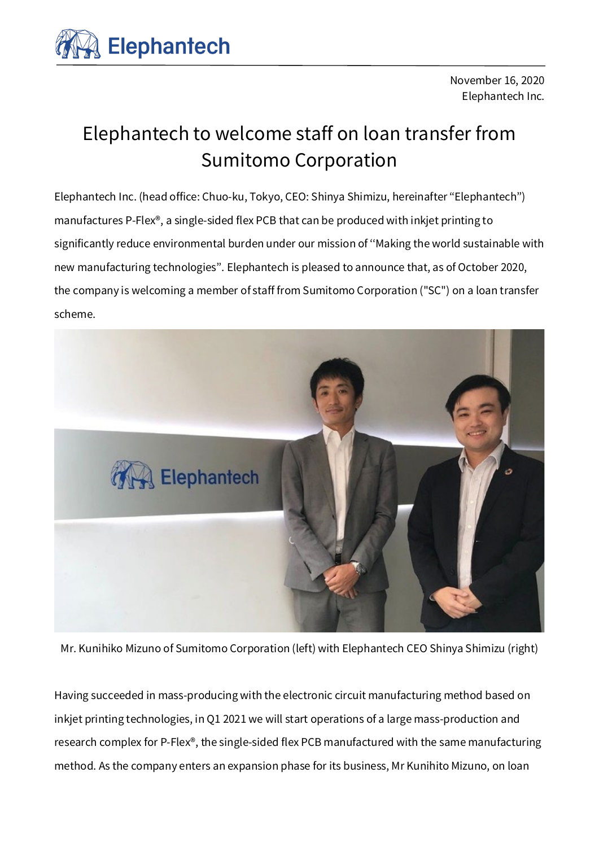

November 16, 2020 Elephantech Inc.

## Elephantech to welcome staff on loan transfer from Sumitomo Corporation

Elephantech Inc. (head office: Chuo-ku, Tokyo, CEO: Shinya Shimizu, hereinafter ''Elephantech'') manufactures P-Flex®, a single-sided flex PCB that can be produced with inkjet printing to significantly reduce environmental burden under our mission of ''Making the world sustainable with new manufacturing technologies''. Elephantech is pleased to announce that, as of October 2020, the company is welcoming a member of staff from Sumitomo Corporation ("SC") on a loan transfer scheme.



Mr. Kunihiko Mizuno of Sumitomo Corporation (left) with Elephantech CEO Shinya Shimizu (right)

Having succeeded in mass-producing with the electronic circuit manufacturing method based on inkjet printing technologies, in Q1 2021 we will start operations of a large mass-production and research complex for P-Flex®, the single-sided flex PCB manufactured with the same manufacturing method. As the company enters an expansion phase for its business, Mr Kunihito Mizuno, on loan